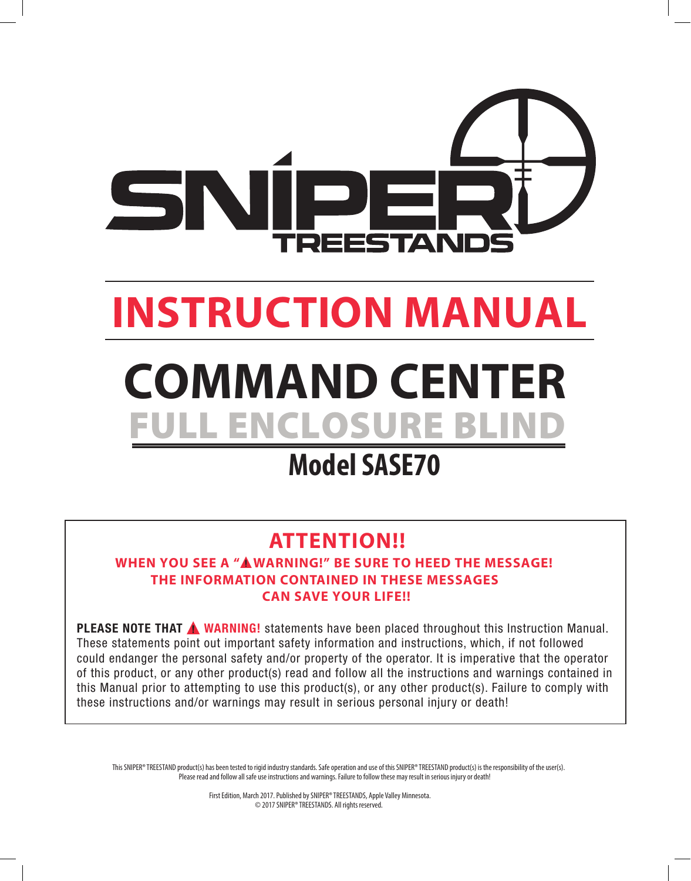

# **INSTRUCTION MANUAL**

# ENCLOSURE **COMMAND CENTER**

## **Model SASE70**

### **ATTENTION!!**

**WHEN YOU SEE A " WARNING!" BE SURE TO HEED THE MESSAGE! THE INFORMATION CONTAINED IN THESE MESSAGES CAN SAVE YOUR LIFE!!** 

**PLEASE NOTE THAT A WARNING!** statements have been placed throughout this Instruction Manual. These statements point out important safety information and instructions, which, if not followed could endanger the personal safety and/or property of the operator. It is imperative that the operator of this product, or any other product(s) read and follow all the instructions and warnings contained in this Manual prior to attempting to use this product(s), or any other product(s). Failure to comply with these instructions and/or warnings may result in serious personal injury or death!

This SNIPER®TREESTAND product(s) has been tested to rigid industry standards. Safe operation and use of this SNIPER®TREESTAND product(s) is the responsibility of the user(s). Please read and follow all safe use instructions and warnings. Failure to follow these may result in serious injury or death!

> First Edition, March 2017. Published by SNIPER®TREESTANDS, Apple Valley Minnesota. © 2017 SNIPER®TREESTANDS. All rights reserved.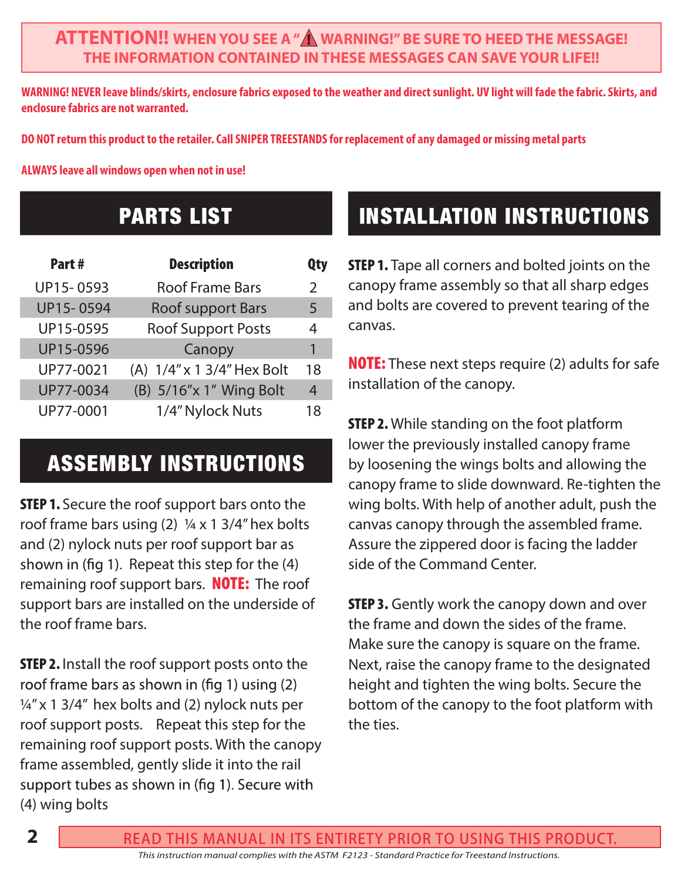#### **ATTENTION!! WHEN YOU SEE A " WARNING!" BE SURE TO HEED THE MESSAGE! THE INFORMATION CONTAINED IN THESE MESSAGES CAN SAVE YOUR LIFE!!**

**WARNING! NEVER leave blinds/skirts, enclosure fabrics exposed to the weather and direct sunlight. UV light will fade the fabric. Skirts, and enclosure fabrics are not warranted.**

**DO NOT return this product to the retailer. Call SNIPER TREESTANDS for replacement of any damaged or missing metal parts**

**ALWAYS leave all windows open when not in use!**

#### PARTS LIST

| Part#            | <b>Description</b>         | Qty            |
|------------------|----------------------------|----------------|
| UP15-0593        | <b>Roof Frame Bars</b>     | 2              |
| <b>UP15-0594</b> | <b>Roof support Bars</b>   | 5              |
| UP15-0595        | <b>Roof Support Posts</b>  | 4              |
| UP15-0596        | Canopy                     | 1              |
| UP77-0021        | (A) 1/4" x 1 3/4" Hex Bolt | 18             |
| <b>UP77-0034</b> | (B) 5/16"x 1" Wing Bolt    | $\overline{4}$ |
| UP77-0001        | 1/4" Nylock Nuts           | 18             |

#### ASSEMBLY INSTRUCTIONS

**STEP 1.** Secure the roof support bars onto the roof frame bars using  $(2)$  ¼ x 1 3/4" hex bolts and (2) nylock nuts per roof support bar as shown in (fig 1). Repeat this step for the  $(4)$ remaining roof support bars. **NOTE:** The roof support bars are installed on the underside of the roof frame bars.

**STEP 2.** Install the roof support posts onto the roof frame bars as shown in (fig 1) using (2) ¼" x 1 3/4" hex bolts and (2) nylock nuts per roof support posts. Repeat this step for the remaining roof support posts. With the canopy frame assembled, gently slide it into the rail support tubes as shown in (fig 1). Secure with (4) wing bolts

### INSTALLATION INSTRUCTIONS

**STEP 1.** Tape all corners and bolted joints on the canopy frame assembly so that all sharp edges and bolts are covered to prevent tearing of the canvas.

**NOTE:** These next steps require (2) adults for safe installation of the canopy.

**STEP 2.** While standing on the foot platform lower the previously installed canopy frame by loosening the wings bolts and allowing the canopy frame to slide downward. Re-tighten the wing bolts. With help of another adult, push the canvas canopy through the assembled frame. Assure the zippered door is facing the ladder side of the Command Center.

**STEP 3.** Gently work the canopy down and over the frame and down the sides of the frame. Make sure the canopy is square on the frame. Next, raise the canopy frame to the designated height and tighten the wing bolts. Secure the bottom of the canopy to the foot platform with the ties.

**READ THIS MANUAL IN ITS ENTIRETY PRIOR TO USING THIS PRODUCT.**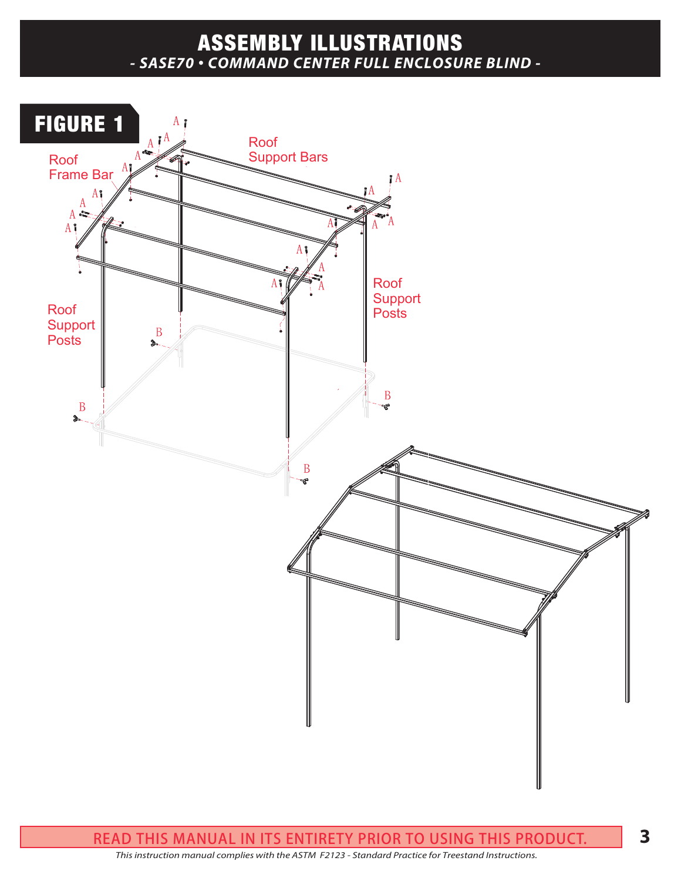#### ASSEMBLY ILLUSTRATIONS *- SASE70 • COMMAND CENTER FULL ENCLOSURE BLIND -*



**READ THIS MANUAL IN ITS ENTIRETY PRIOR TO USING THIS PRODUCT.**